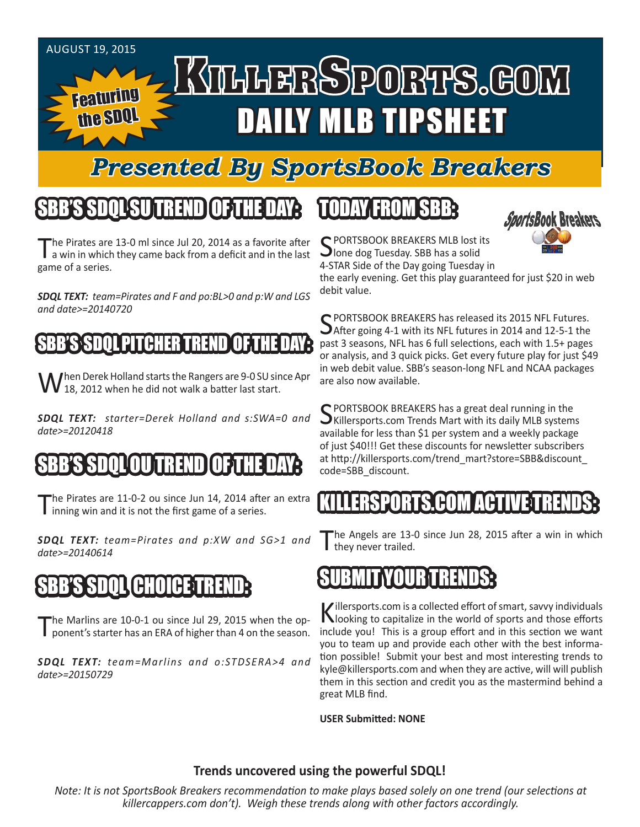#### AUGUST 19, 2015 KILLERSPORTS.GOM Featuring DAILY MLB TIPSHEET the SDQL

#### *Presented By SportsBook Breakers*

### SBB'S SDQLSU TREND OF THE DAY:

The Pirates are 13-0 ml since Jul 20, 2014 as a favorite after<br>a win in which they came back from a deficit and in the last game of a series.

*SDQL TEXT: team=Pirates and F and po:BL>0 and p:W and LGS and date>=20140720*

#### SDOL PITCHER TREN

When Derek Holland starts the Rangers are 9-0 SU since Apr<br>W 18, 2012 when he did not walk a batter last start.

*SDQL TEXT: starter=Derek Holland and s:SWA=0 and date>=20120418*

#### OU TREND

The Pirates are 11-0-2 ou since Jun 14, 2014 after an extra inning win and it is not the first game of a series.

*SDQL TEXT: team=Pirates and p:XW and SG>1 and date>=20140614*

## SBB'S SDQL CHOICE TREND:

The Marlins are 10-0-1 ou since Jul 29, 2015 when the opponent's starter has an ERA of higher than 4 on the season.

*SDQL TEXT: team=Marlins and o:STDSERA>4 and date>=20150729*

### TODAY FROM SBB:



C PORTSBOOK BREAKERS MLB lost its Jlone dog Tuesday. SBB has a solid 4-STAR Side of the Day going Tuesday in

the early evening. Get this play guaranteed for just \$20 in web debit value.

SPORTSBOOK BREAKERS has released its 2015 NFL Futures.<br>SAfter going 4-1 with its NFL futures in 2014 and 12-5-1 the past 3 seasons, NFL has 6 full selections, each with 1.5+ pages or analysis, and 3 quick picks. Get every future play for just \$49 in web debit value. SBB's season-long NFL and NCAA packages are also now available.

SPORTSBOOK BREAKERS has a great deal running in the<br>SKillersports.com Trends Mart with its daily MLB systems available for less than \$1 per system and a weekly package of just \$40!!! Get these discounts for newsletter subscribers at http://killersports.com/trend\_mart?store=SBB&discount\_ code=SBB\_discount.

#### ERSPORTS.COM ACT

The Angels are 13-0 since Jun 28, 2015 after a win in which they never trailed.



Killersports.com is a collected effort of smart, savvy individuals<br>Nooking to capitalize in the world of sports and those efforts include you! This is a group effort and in this section we want you to team up and provide each other with the best information possible! Submit your best and most interesting trends to kyle@killersports.com and when they are active, will will publish them in this section and credit you as the mastermind behind a great MLB find.

**USER Submitted: NONE**

#### **Trends uncovered using the powerful SDQL!**

*Note: It is not SportsBook Breakers recommendation to make plays based solely on one trend (our selections at killercappers.com don't). Weigh these trends along with other factors accordingly.*